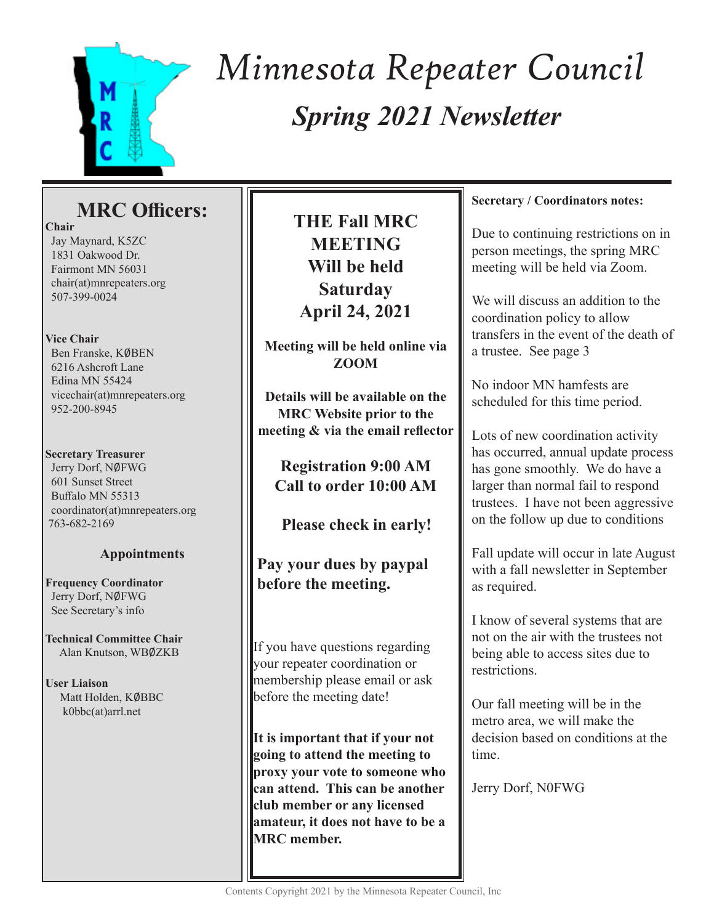

# *Spring 2021 Newsletter Minnesota Repeater Council*

# **MRC Officers:**

**Chair** Jay Maynard, K5ZC 1831 Oakwood Dr. Fairmont MN 56031 chair(at)mnrepeaters.org 507-399-0024

## **Vice Chair**

Ben Franske, KØBEN 6216 Ashcroft Lane Edina MN 55424 vicechair(at)mnrepeaters.org 952-200-8945

### **Secretary Treasurer**

Jerry Dorf, NØFWG 601 Sunset Street Buffalo MN 55313 coordinator(at)mnrepeaters.org 763-682-2169

## **Appointments**

**Frequency Coordinator** Jerry Dorf, NØFWG See Secretary's info

**Technical Committee Chair** Alan Knutson, WB0ZKB

**User Liaison** Matt Holden, KØBBC k0bbc(at)arrl.net

# **THE Fall MRC MEETING Will be held Saturday April 24, 2021**

**Meeting will be held online via ZOOM**

**Details will be available on the MRC Website prior to the meeting & via the email reflector**

**Registration 9:00 AM Call to order 10:00 AM**

 **Please check in early!**

# **Pay your dues by paypal before the meeting.**

If you have questions regarding your repeater coordination or membership please email or ask before the meeting date!

**It is important that if your not going to attend the meeting to proxy your vote to someone who can attend. This can be another club member or any licensed amateur, it does not have to be a MRC member.**

### **Secretary / Coordinators notes:**

Due to continuing restrictions on in person meetings, the spring MRC meeting will be held via Zoom.

We will discuss an addition to the coordination policy to allow transfers in the event of the death of a trustee. See page 3

No indoor MN hamfests are scheduled for this time period.

Lots of new coordination activity has occurred, annual update process has gone smoothly. We do have a larger than normal fail to respond trustees. I have not been aggressive on the follow up due to conditions

Fall update will occur in late August with a fall newsletter in September as required.

I know of several systems that are not on the air with the trustees not being able to access sites due to restrictions.

Our fall meeting will be in the metro area, we will make the decision based on conditions at the time.

Jerry Dorf, N0FWG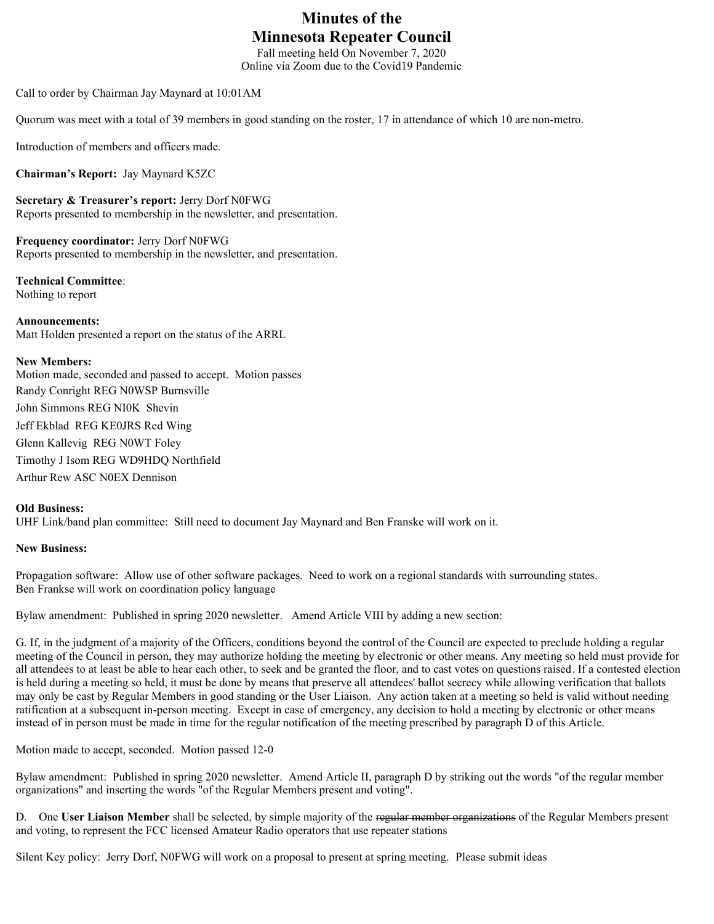# **Minutes of the Minnesota Repeater Council**

Fall meeting held On November 7, 2020 Online via Zoom due to the Covid19 Pandemic

Call to order by Chairman Jay Maynard at 10:01AM

Quorum was meet with a total of 39 members in good standing on the roster, 17 in attendance of which 10 are non-metro.

Introduction of members and officers made.

**Chairman's Report:** Jay Maynard K5ZC

**Secretary & Treasurer's report:** Jerry Dorf N0FWG Reports presented to membership in the newsletter, and presentation.

**Frequency coordinator:** Jerry Dorf N0FWG Reports presented to membership in the newsletter, and presentation.

**Technical Committee**: Nothing to report

**Announcements:** 

Matt Holden presented a report on the status of the ARRL

#### **New Members:**

Motion made, seconded and passed to accept. Motion passes Randy Conright REG N0WSP Burnsville John Simmons REG NI0K Shevin Jeff Ekblad REG KE0JRS Red Wing Glenn Kallevig REG N0WT Foley Timothy J Isom REG WD9HDQ Northfield Arthur Rew ASC N0EX Dennison

#### **Old Business:**

UHF Link/band plan committee: Still need to document Jay Maynard and Ben Franske will work on it.

#### **New Business:**

Propagation software: Allow use of other software packages. Need to work on a regional standards with surrounding states. Ben Frankse will work on coordination policy language

Bylaw amendment: Published in spring 2020 newsletter. Amend Article VIII by adding a new section:

G. If, in the judgment of a majority of the Officers, conditions beyond the control of the Council are expected to preclude holding a regular meeting of the Council in person, they may authorize holding the meeting by electronic or other means. Any meeting so held must provide for all attendees to at least be able to hear each other, to seek and be granted the floor, and to cast votes on questions raised. If a contested election is held during a meeting so held, it must be done by means that preserve all attendees' ballot secrecy while allowing verification that ballots may only be cast by Regular Members in good standing or the User Liaison. Any action taken at a meeting so held is valid without needing ratification at a subsequent in-person meeting. Except in case of emergency, any decision to hold a meeting by electronic or other means instead of in person must be made in time for the regular notification of the meeting prescribed by paragraph D of this Article.

Motion made to accept, seconded. Motion passed 12-0

Bylaw amendment: Published in spring 2020 newsletter. Amend Article II, paragraph D by striking out the words "of the regular member organizations" and inserting the words "of the Regular Members present and voting".

D. One **User Liaison Member** shall be selected, by simple majority of the regular member organizations of the Regular Members present and voting, to represent the FCC licensed Amateur Radio operators that use repeater stations

Silent Key policy: Jerry Dorf, N0FWG will work on a proposal to present at spring meeting. Please submit ideas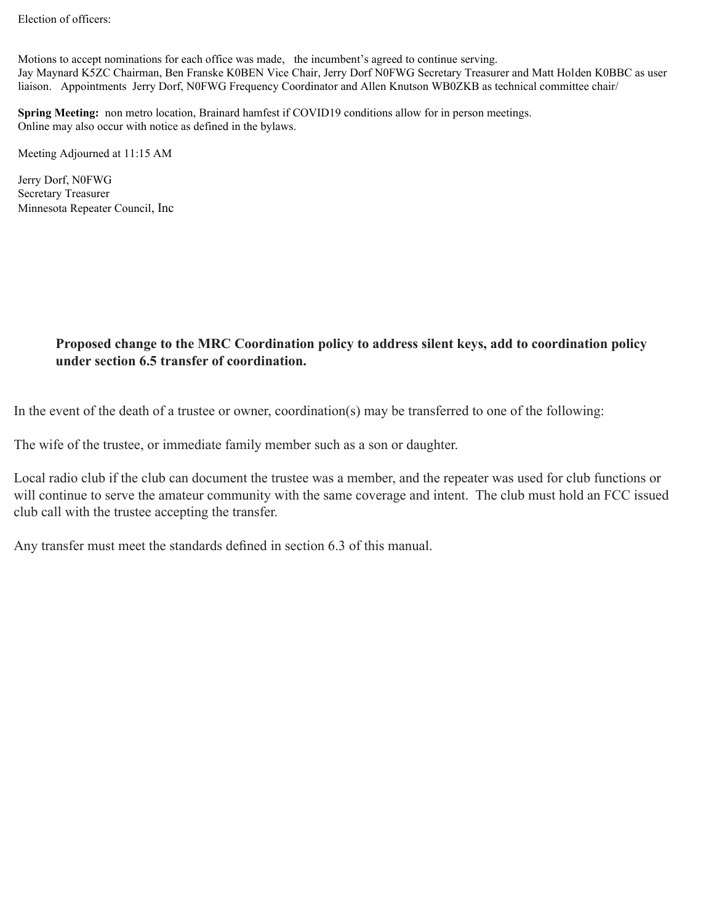Election of officers:

Motions to accept nominations for each office was made, the incumbent's agreed to continue serving. Jay Maynard K5ZC Chairman, Ben Franske K0BEN Vice Chair, Jerry Dorf N0FWG Secretary Treasurer and Matt Holden K0BBC as user liaison. Appointments Jerry Dorf, N0FWG Frequency Coordinator and Allen Knutson WB0ZKB as technical committee chair/

**Spring Meeting:** non metro location, Brainard hamfest if COVID19 conditions allow for in person meetings. Online may also occur with notice as defined in the bylaws.

Meeting Adjourned at 11:15 AM

Jerry Dorf, N0FWG Secretary Treasurer Minnesota Repeater Council, Inc

## **Proposed change to the MRC Coordination policy to address silent keys, add to coordination policy under section 6.5 transfer of coordination.**

In the event of the death of a trustee or owner, coordination(s) may be transferred to one of the following:

The wife of the trustee, or immediate family member such as a son or daughter.

Local radio club if the club can document the trustee was a member, and the repeater was used for club functions or will continue to serve the amateur community with the same coverage and intent. The club must hold an FCC issued club call with the trustee accepting the transfer.

Any transfer must meet the standards defined in section 6.3 of this manual.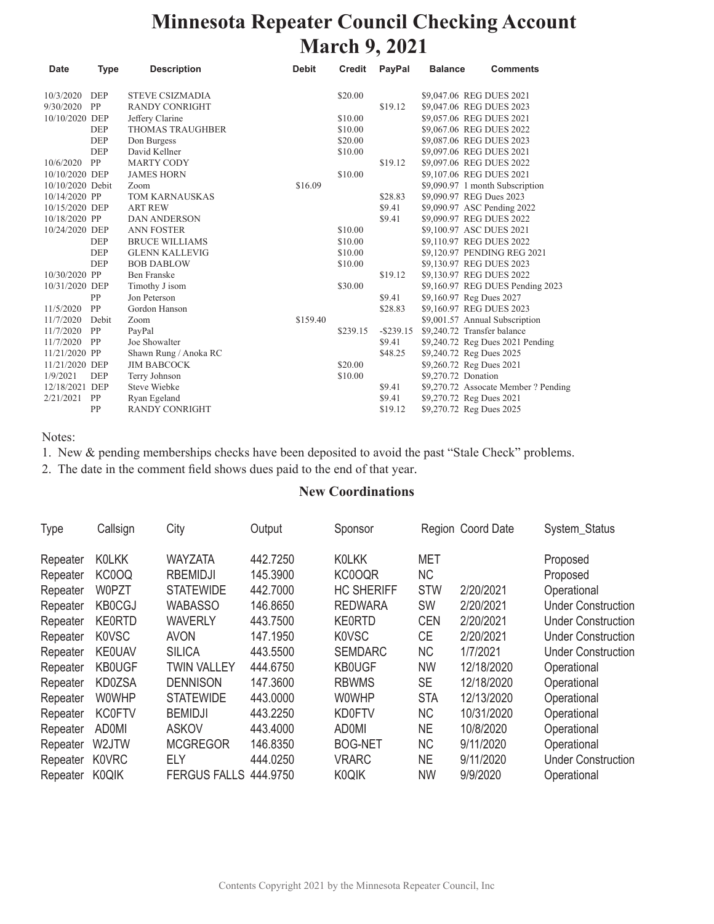# **Minnesota Repeater Council Checking Account March 9, 2021**

| <b>Date</b>      | <b>Type</b> | <b>Description</b>      | <b>Debit</b> | <b>Credit</b> | <b>PayPal</b> | <b>Balance</b>      | <b>Comments</b>                      |
|------------------|-------------|-------------------------|--------------|---------------|---------------|---------------------|--------------------------------------|
| 10/3/2020        | <b>DEP</b>  | <b>STEVE CSIZMADIA</b>  |              | \$20.00       |               |                     | \$9,047.06 REG DUES 2021             |
| 9/30/2020        | PP          | <b>RANDY CONRIGHT</b>   |              |               | \$19.12       |                     | \$9,047.06 REG DUES 2023             |
| 10/10/2020 DEP   |             | Jeffery Clarine         |              | \$10.00       |               |                     | \$9,057.06 REG DUES 2021             |
|                  | DEP         | <b>THOMAS TRAUGHBER</b> |              | \$10.00       |               |                     | \$9,067.06 REG DUES 2022             |
|                  | DEP         | Don Burgess             |              | \$20.00       |               |                     | \$9,087.06 REG DUES 2023             |
|                  | <b>DEP</b>  | David Kellner           |              | \$10.00       |               |                     | \$9,097.06 REG DUES 2021             |
| 10/6/2020        | PP          | <b>MARTY CODY</b>       |              |               | \$19.12       |                     | \$9,097.06 REG DUES 2022             |
| 10/10/2020 DEP   |             | <b>JAMES HORN</b>       |              | \$10.00       |               |                     | \$9,107.06 REG DUES 2021             |
| 10/10/2020 Debit |             | Zoom                    | \$16.09      |               |               |                     | \$9,090.97 1 month Subscription      |
| 10/14/2020 PP    |             | <b>TOM KARNAUSKAS</b>   |              |               | \$28.83       |                     | \$9,090.97 REG Dues 2023             |
| 10/15/2020 DEP   |             | <b>ART REW</b>          |              |               | \$9.41        |                     | \$9,090.97 ASC Pending 2022          |
| 10/18/2020 PP    |             | <b>DAN ANDERSON</b>     |              |               | \$9.41        |                     | \$9,090.97 REG DUES 2022             |
| 10/24/2020 DEP   |             | <b>ANN FOSTER</b>       |              | \$10.00       |               |                     | \$9,100.97 ASC DUES 2021             |
|                  | <b>DEP</b>  | <b>BRUCE WILLIAMS</b>   |              | \$10.00       |               |                     | \$9,110.97 REG DUES 2022             |
|                  | DEP         | <b>GLENN KALLEVIG</b>   |              | \$10.00       |               |                     | \$9,120.97 PENDING REG 2021          |
|                  | <b>DEP</b>  | <b>BOB DABLOW</b>       |              | \$10.00       |               |                     | \$9,130.97 REG DUES 2023             |
| 10/30/2020 PP    |             | <b>Ben Franske</b>      |              |               | \$19.12       |                     | \$9,130.97 REG DUES 2022             |
| 10/31/2020 DEP   |             | Timothy J isom          |              | \$30.00       |               |                     | \$9,160.97 REG DUES Pending 2023     |
|                  | PP          | Jon Peterson            |              |               | \$9.41        |                     | \$9,160.97 Reg Dues 2027             |
| 11/5/2020        | PP          | Gordon Hanson           |              |               | \$28.83       |                     | \$9,160.97 REG DUES 2023             |
| 11/7/2020        | Debit       | Zoom                    | \$159.40     |               |               |                     | \$9,001.57 Annual Subscription       |
| 11/7/2020        | PP          | PayPal                  |              | \$239.15      | $-$ \$239.15  |                     | \$9,240.72 Transfer balance          |
| 11/7/2020        | PP          | Joe Showalter           |              |               | \$9.41        |                     | \$9,240.72 Reg Dues 2021 Pending     |
| 11/21/2020 PP    |             | Shawn Rung / Anoka RC   |              |               | \$48.25       |                     | \$9,240.72 Reg Dues 2025             |
| 11/21/2020 DEP   |             | <b>JIM BABCOCK</b>      |              | \$20.00       |               |                     | \$9,260.72 Reg Dues 2021             |
| 1/9/2021         | <b>DEP</b>  | Terry Johnson           |              | \$10.00       |               | \$9,270.72 Donation |                                      |
| 12/18/2021 DEP   |             | <b>Steve Wiebke</b>     |              |               | \$9.41        |                     | \$9,270.72 Assocate Member ? Pending |
| 2/21/2021        | PP          | Ryan Egeland            |              |               | \$9.41        |                     | \$9,270.72 Reg Dues 2021             |
|                  | PP          | <b>RANDY CONRIGHT</b>   |              |               | \$19.12       |                     | \$9,270.72 Reg Dues 2025             |

Notes:

1. New & pending memberships checks have been deposited to avoid the past "Stale Check" problems.

2. The date in the comment field shows dues paid to the end of that year.

#### **New Coordinations**

| <b>Type</b> | Callsign      | City                | Output   | Sponsor           |            | Region Coord Date | System_Status             |
|-------------|---------------|---------------------|----------|-------------------|------------|-------------------|---------------------------|
| Repeater    | <b>KOLKK</b>  | <b>WAYZATA</b>      | 442.7250 | <b>KOLKK</b>      | <b>MET</b> |                   | Proposed                  |
| Repeater    | KC0OQ         | <b>RBEMIDJI</b>     | 145.3900 | KC0OQR            | <b>NC</b>  |                   | Proposed                  |
| Repeater    | W0PZT         | <b>STATEWIDE</b>    | 442.7000 | <b>HC SHERIFF</b> | <b>STW</b> | 2/20/2021         | Operational               |
| Repeater    | <b>KB0CGJ</b> | <b>WABASSO</b>      | 146.8650 | <b>REDWARA</b>    | <b>SW</b>  | 2/20/2021         | <b>Under Construction</b> |
| Repeater    | <b>KE0RTD</b> | <b>WAVERLY</b>      | 443.7500 | <b>KE0RTD</b>     | <b>CEN</b> | 2/20/2021         | <b>Under Construction</b> |
| Repeater    | <b>KOVSC</b>  | <b>AVON</b>         | 147.1950 | <b>KOVSC</b>      | <b>CE</b>  | 2/20/2021         | <b>Under Construction</b> |
| Repeater    | <b>KE0UAV</b> | <b>SILICA</b>       | 443.5500 | <b>SEMDARC</b>    | <b>NC</b>  | 1/7/2021          | <b>Under Construction</b> |
| Repeater    | <b>KB0UGF</b> | <b>TWIN VALLEY</b>  | 444.6750 | <b>KB0UGF</b>     | <b>NW</b>  | 12/18/2020        | Operational               |
| Repeater    | KD0ZSA        | <b>DENNISON</b>     | 147.3600 | <b>RBWMS</b>      | <b>SE</b>  | 12/18/2020        | Operational               |
| Repeater    | <b>W0WHP</b>  | <b>STATEWIDE</b>    | 443.0000 | <b>WOWHP</b>      | <b>STA</b> | 12/13/2020        | Operational               |
| Repeater    | <b>KC0FTV</b> | <b>BEMIDJI</b>      | 443.2250 | <b>KD0FTV</b>     | NС         | 10/31/2020        | Operational               |
| Repeater    | <b>AD0MI</b>  | <b>ASKOV</b>        | 443,4000 | <b>ADOMI</b>      | <b>NE</b>  | 10/8/2020         | Operational               |
| Repeater    | W2JTW         | <b>MCGREGOR</b>     | 146.8350 | <b>BOG-NET</b>    | <b>NC</b>  | 9/11/2020         | Operational               |
| Repeater    | <b>K0VRC</b>  | ELY                 | 444.0250 | <b>VRARC</b>      | <b>NE</b>  | 9/11/2020         | <b>Under Construction</b> |
| Repeater    | <b>K0QIK</b>  | <b>FERGUS FALLS</b> | 444.9750 | <b>K0QIK</b>      | <b>NW</b>  | 9/9/2020          | Operational               |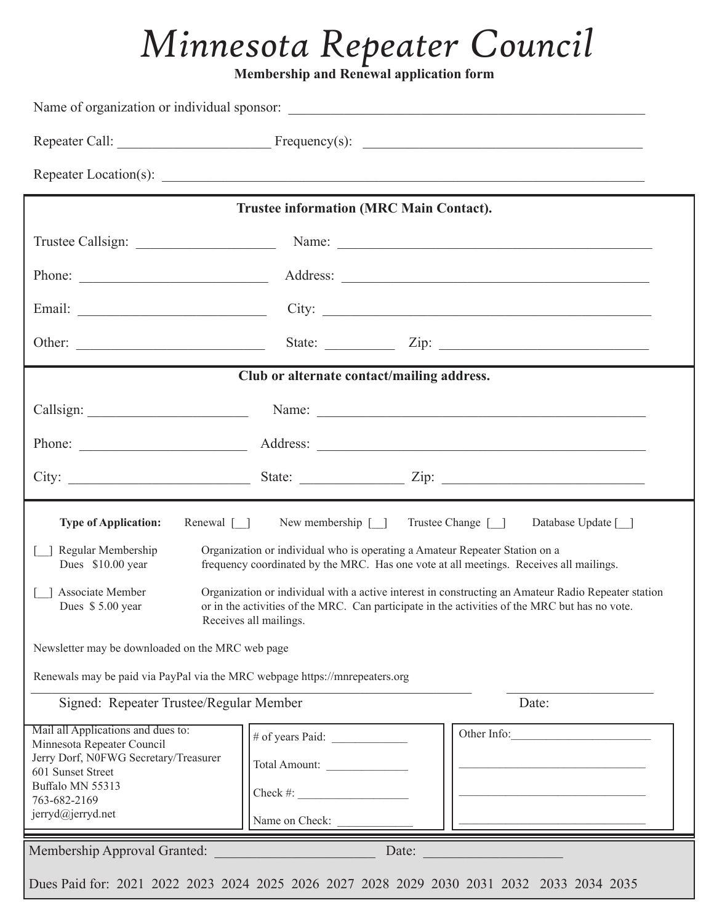# *Minnesota Repeater Council*

**Membership and Renewal application form** 

|                                                                                                                                                                                                                                                                                                                                                                                                                                                                                                                                                                                                                                                                               | <b>Trustee information (MRC Main Contact).</b>              |                                                                                                                                                                                                                                               |  |  |
|-------------------------------------------------------------------------------------------------------------------------------------------------------------------------------------------------------------------------------------------------------------------------------------------------------------------------------------------------------------------------------------------------------------------------------------------------------------------------------------------------------------------------------------------------------------------------------------------------------------------------------------------------------------------------------|-------------------------------------------------------------|-----------------------------------------------------------------------------------------------------------------------------------------------------------------------------------------------------------------------------------------------|--|--|
|                                                                                                                                                                                                                                                                                                                                                                                                                                                                                                                                                                                                                                                                               |                                                             | Trustee Callsign: Name: Name: Name: Name: Name: Name: Name: Name: Name: Name: Name: Name: Name: Name: Name: Name: Name: Name: Name: Name: Name: Name: Name: Name: Name: Name: Name: Name: Name: Name: Name: Name: Name: Name:                 |  |  |
|                                                                                                                                                                                                                                                                                                                                                                                                                                                                                                                                                                                                                                                                               |                                                             | Phone: <u>Address:</u> Address: <u>Address:</u> Address: <u>Address:</u> Address: Address: Address: Address: Address: Address: Address: Address: Address: Address: Address: Address: Address: Address: Address: Address: Address: Address: Ad |  |  |
|                                                                                                                                                                                                                                                                                                                                                                                                                                                                                                                                                                                                                                                                               |                                                             |                                                                                                                                                                                                                                               |  |  |
| Other:                                                                                                                                                                                                                                                                                                                                                                                                                                                                                                                                                                                                                                                                        |                                                             |                                                                                                                                                                                                                                               |  |  |
|                                                                                                                                                                                                                                                                                                                                                                                                                                                                                                                                                                                                                                                                               | Club or alternate contact/mailing address.                  |                                                                                                                                                                                                                                               |  |  |
|                                                                                                                                                                                                                                                                                                                                                                                                                                                                                                                                                                                                                                                                               |                                                             |                                                                                                                                                                                                                                               |  |  |
|                                                                                                                                                                                                                                                                                                                                                                                                                                                                                                                                                                                                                                                                               |                                                             |                                                                                                                                                                                                                                               |  |  |
|                                                                                                                                                                                                                                                                                                                                                                                                                                                                                                                                                                                                                                                                               |                                                             |                                                                                                                                                                                                                                               |  |  |
| Renewal $\lceil \rceil$<br>New membership [ ] Trustee Change [ ]<br>Database Update [ ]<br><b>Type of Application:</b><br>Regular Membership<br>Organization or individual who is operating a Amateur Repeater Station on a<br>Dues \$10.00 year<br>frequency coordinated by the MRC. Has one vote at all meetings. Receives all mailings.<br>[ ] Associate Member<br>Organization or individual with a active interest in constructing an Amateur Radio Repeater station<br>Dues \$5.00 year<br>or in the activities of the MRC. Can participate in the activities of the MRC but has no vote.<br>Receives all mailings.<br>Newsletter may be downloaded on the MRC web page |                                                             |                                                                                                                                                                                                                                               |  |  |
| Renewals may be paid via PayPal via the MRC webpage https://mnrepeaters.org                                                                                                                                                                                                                                                                                                                                                                                                                                                                                                                                                                                                   |                                                             |                                                                                                                                                                                                                                               |  |  |
| Signed: Repeater Trustee/Regular Member                                                                                                                                                                                                                                                                                                                                                                                                                                                                                                                                                                                                                                       |                                                             | Date:                                                                                                                                                                                                                                         |  |  |
| Mail all Applications and dues to:<br>Minnesota Repeater Council<br>Jerry Dorf, N0FWG Secretary/Treasurer<br>601 Sunset Street<br>Buffalo MN 55313<br>763-682-2169<br>jerryd@jerryd.net                                                                                                                                                                                                                                                                                                                                                                                                                                                                                       | Total Amount:<br>Check #: $\qquad \qquad$<br>Name on Check: | Other Info:                                                                                                                                                                                                                                   |  |  |
| Membership Approval Granted:                                                                                                                                                                                                                                                                                                                                                                                                                                                                                                                                                                                                                                                  | Date:                                                       |                                                                                                                                                                                                                                               |  |  |
| Dues Paid for: 2021 2022 2023 2024 2025 2026 2027 2028 2029 2030 2031 2032 2033 2034 2035                                                                                                                                                                                                                                                                                                                                                                                                                                                                                                                                                                                     |                                                             |                                                                                                                                                                                                                                               |  |  |